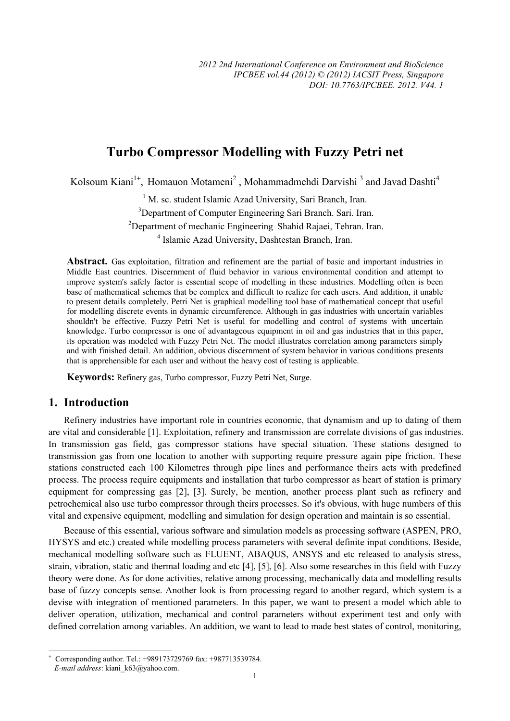# **Turbo Compressor Modelling with Fuzzy Petri net**

Kolsoum Kiani<sup>1+</sup>, Homauon Motameni<sup>2</sup>, Mohammadmehdi Darvishi<sup>3</sup> and Javad Dashti<sup>4</sup>

<sup>1</sup> M. sc. student Islamic Azad University, Sari Branch, Iran. <sup>3</sup>Department of Computer Engineering Sari Branch. Sari. Iran. <sup>2</sup>Department of mechanic Engineering Shahid Rajaei, Tehran. Iran. 4 Islamic Azad University, Dashtestan Branch, Iran.

**Abstract.** Gas exploitation, filtration and refinement are the partial of basic and important industries in Middle East countries. Discernment of fluid behavior in various environmental condition and attempt to improve system's safely factor is essential scope of modelling in these industries. Modelling often is been base of mathematical schemes that be complex and difficult to realize for each users. And addition, it unable to present details completely. Petri Net is graphical modelling tool base of mathematical concept that useful for modelling discrete events in dynamic circumference. Although in gas industries with uncertain variables shouldn't be effective. Fuzzy Petri Net is useful for modelling and control of systems with uncertain knowledge. Turbo compressor is one of advantageous equipment in oil and gas industries that in this paper, its operation was modeled with Fuzzy Petri Net. The model illustrates correlation among parameters simply and with finished detail. An addition, obvious discernment of system behavior in various conditions presents that is apprehensible for each user and without the heavy cost of testing is applicable.

**Keywords:** Refinery gas, Turbo compressor, Fuzzy Petri Net, Surge.

## **1. Introduction**

 $\overline{\phantom{a}}$ 

Refinery industries have important role in countries economic, that dynamism and up to dating of them are vital and considerable [1]. Exploitation, refinery and transmission are correlate divisions of gas industries. In transmission gas field, gas compressor stations have special situation. These stations designed to transmission gas from one location to another with supporting require pressure again pipe friction. These stations constructed each 100 Kilometres through pipe lines and performance theirs acts with predefined process. The process require equipments and installation that turbo compressor as heart of station is primary equipment for compressing gas [2], [3]. Surely, be mention, another process plant such as refinery and petrochemical also use turbo compressor through theirs processes. So it's obvious, with huge numbers of this vital and expensive equipment, modelling and simulation for design operation and maintain is so essential.

Because of this essential, various software and simulation models as processing software (ASPEN, PRO, HYSYS and etc.) created while modelling process parameters with several definite input conditions. Beside, mechanical modelling software such as FLUENT, ABAQUS, ANSYS and etc released to analysis stress, strain, vibration, static and thermal loading and etc [4], [5], [6]. Also some researches in this field with Fuzzy theory were done. As for done activities, relative among processing, mechanically data and modelling results base of fuzzy concepts sense. Another look is from processing regard to another regard, which system is a devise with integration of mentioned parameters. In this paper, we want to present a model which able to deliver operation, utilization, mechanical and control parameters without experiment test and only with defined correlation among variables. An addition, we want to lead to made best states of control, monitoring,

<sup>+</sup> Corresponding author. Tel.: +989173729769 fax: +987713539784. *E-mail address*: kiani\_k63@yahoo.com.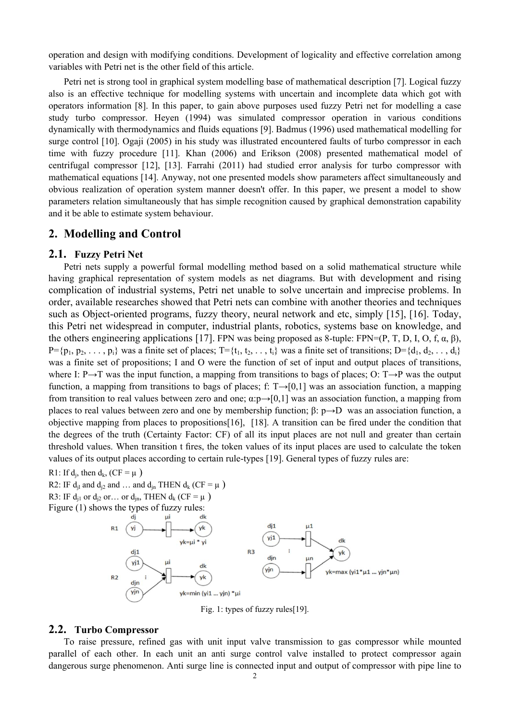operation and design with modifying conditions. Development of logicality and effective correlation among variables with Petri net is the other field of this article.

Petri net is strong tool in graphical system modelling base of mathematical description [7]. Logical fuzzy also is an effective technique for modelling systems with uncertain and incomplete data which got with operators information [8]. In this paper, to gain above purposes used fuzzy Petri net for modelling a case study turbo compressor. Heyen (1994) was simulated compressor operation in various conditions dynamically with thermodynamics and fluids equations [9]. Badmus (1996) used mathematical modelling for surge control [10]. Ogaji (2005) in his study was illustrated encountered faults of turbo compressor in each time with fuzzy procedure [11]. Khan (2006) and Erikson (2008) presented mathematical model of centrifugal compressor [12], [13]. Farrahi (2011) had studied error analysis for turbo compressor with mathematical equations [14]. Anyway, not one presented models show parameters affect simultaneously and obvious realization of operation system manner doesn't offer. In this paper, we present a model to show parameters relation simultaneously that has simple recognition caused by graphical demonstration capability and it be able to estimate system behaviour.

### **2. Modelling and Control**

### **2.1. Fuzzy Petri Net**

Petri nets supply a powerful formal modelling method based on a solid mathematical structure while having graphical representation of system models as net diagrams. But with development and rising complication of industrial systems, Petri net unable to solve uncertain and imprecise problems. In order, available researches showed that Petri nets can combine with another theories and techniques such as Object-oriented programs, fuzzy theory, neural network and etc, simply [15], [16]. Today, this Petri net widespread in computer, industrial plants, robotics, systems base on knowledge, and the others engineering applications [17]. FPN was being proposed as 8-tuple: FPN=(P, T, D, I, O, f,  $\alpha$ ,  $\beta$ ),  $P=\{p_1, p_2, \ldots, p_i\}$  was a finite set of places;  $T=\{t_1, t_2, \ldots, t_i\}$  was a finite set of transitions;  $D=\{d_1, d_2, \ldots, d_i\}$ was a finite set of propositions; I and O were the function of set of input and output places of transitions, where I: P→T was the input function, a mapping from transitions to bags of places; O: T→P was the output function, a mapping from transitions to bags of places; f:  $T\rightarrow [0,1]$  was an association function, a mapping from transition to real values between zero and one;  $\alpha$ :p→[0,1] was an association function, a mapping from places to real values between zero and one by membership function; β: p→D was an association function, a objective mapping from places to propositions[16], [18]. A transition can be fired under the condition that the degrees of the truth (Certainty Factor: CF) of all its input places are not null and greater than certain threshold values. When transition t fires, the token values of its input places are used to calculate the token values of its output places according to certain rule-types [19]. General types of fuzzy rules are:

R1: If  $d_i$ , then  $d_k$ , (CF =  $\mu$ )

R2: IF  $d_{il}$  and  $d_{i2}$  and ... and  $d_{in}$  THEN  $d_k$  (CF =  $\mu$ ) R3: IF  $d_{i1}$  or  $d_{i2}$  or… or  $d_{in}$ , THEN  $d_k$  (CF =  $\mu$ )



Fig. 1: types of fuzzy rules[19].

#### **2.2. Turbo Compressor**

To raise pressure, refined gas with unit input valve transmission to gas compressor while mounted parallel of each other. In each unit an anti surge control valve installed to protect compressor again dangerous surge phenomenon. Anti surge line is connected input and output of compressor with pipe line to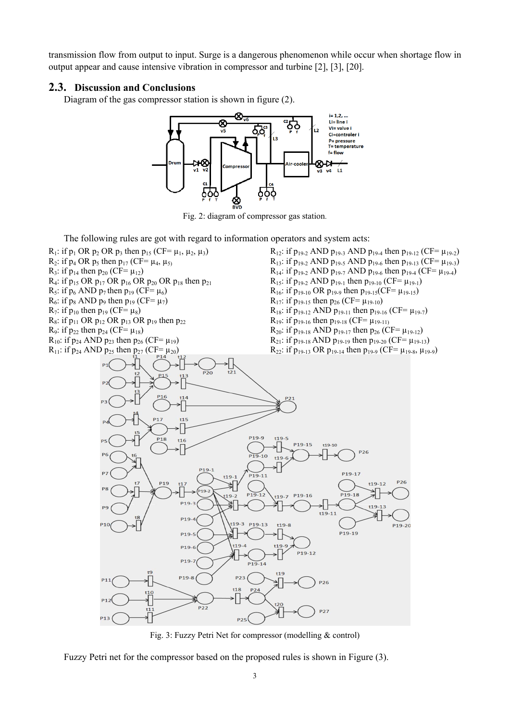transmission flow from output to input. Surge is a dangerous phenomenon while occur when shortage flow in output appear and cause intensive vibration in compressor and turbine [2], [3], [20].

### **2.3. Discussion and Conclusions**

Diagram of the gas compressor station is shown in figure (2).



Fig. 2: diagram of compressor gas station.

The following rules are got with regard to information operators and system acts:



Fig. 3: Fuzzy Petri Net for compressor (modelling & control)

Fuzzy Petri net for the compressor based on the proposed rules is shown in Figure (3).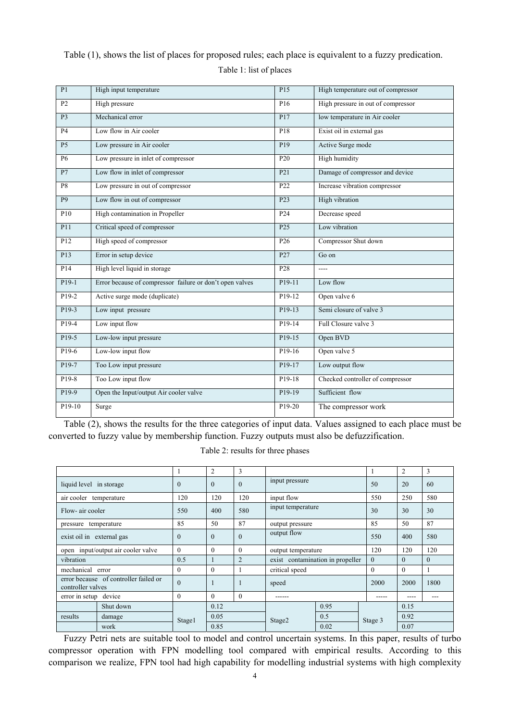## Table (1), shows the list of places for proposed rules; each place is equivalent to a fuzzy predication. Table 1: list of places

| P1                | High input temperature                                   | P15                 | High temperature out of compressor |
|-------------------|----------------------------------------------------------|---------------------|------------------------------------|
| $\overline{P2}$   | High pressure                                            | P16                 | High pressure in out of compressor |
| $\overline{P}$    | Mechanical error                                         | P17                 | low temperature in Air cooler      |
| <b>P4</b>         | Low flow in Air cooler                                   | P18                 | Exist oil in external gas          |
| $\overline{P5}$   | Low pressure in Air cooler                               | P19                 | Active Surge mode                  |
| <b>P6</b>         | Low pressure in inlet of compressor                      | P <sub>20</sub>     | High humidity                      |
| $\overline{P7}$   | Low flow in inlet of compressor                          | P <sub>21</sub>     | Damage of compressor and device    |
| $\overline{P8}$   | Low pressure in out of compressor                        | P <sub>22</sub>     | Increase vibration compressor      |
| $\overline{P9}$   | Low flow in out of compressor                            | P <sub>23</sub>     | High vibration                     |
| P10               | High contamination in Propeller                          | P <sub>24</sub>     | Decrease speed                     |
| P11               | Critical speed of compressor                             | P <sub>25</sub>     | Low vibration                      |
| $\overline{P12}$  | High speed of compressor                                 | P <sub>26</sub>     | Compressor Shut down               |
| P13               | Error in setup device                                    | P27                 | $Go \text{ on }$                   |
| P <sub>14</sub>   | High level liquid in storage                             | P28                 | $---$                              |
| $P19-1$           | Error because of compressor failure or don't open valves | P <sub>19-11</sub>  | Low flow                           |
| P <sub>19-2</sub> | Active surge mode (duplicate)                            | P <sub>19</sub> -12 | Open valve 6                       |
| P <sub>19-3</sub> | Low input pressure                                       | $P19-13$            | Semi closure of valve 3            |
| $P19-4$           | Low input flow                                           | $P19-14$            | Full Closure valve 3               |
| $P19-5$           | Low-low input pressure                                   | $P19-15$            | Open BVD                           |
| P <sub>19-6</sub> | Low-low input flow                                       | P19-16              | Open valve 5                       |
| $P19-7$           | Too Low input pressure                                   | P <sub>19</sub> -17 | Low output flow                    |
| $P19-8$           | Too Low input flow                                       | P19-18              | Checked controller of compressor   |
| P <sub>19-9</sub> | Open the Input/output Air cooler valve                   | P <sub>19-19</sub>  | Sufficient flow                    |
| P19-10            | Surge                                                    | P19-20              | The compressor work                |

Table (2), shows the results for the three categories of input data. Values assigned to each place must be converted to fuzzy value by membership function. Fuzzy outputs must also be defuzzification.

Table 2: results for three phases

|                                                            |           |               | $\overline{c}$ | 3              |                                  |      |          | $\overline{c}$ | 3        |
|------------------------------------------------------------|-----------|---------------|----------------|----------------|----------------------------------|------|----------|----------------|----------|
| liquid level in storage                                    |           | $\theta$      | $\mathbf{0}$   | $\Omega$       | input pressure                   |      | 50       | 20             | 60       |
| air cooler temperature                                     |           | 120           | 120            | 120            | input flow                       |      | 550      | 250            | 580      |
| Flow-air cooler                                            |           | 550           | 400            | 580            | input temperature                |      | 30       | 30             | 30       |
| pressure temperature                                       |           | 85            | 50             | 87             | output pressure                  |      | 85       | 50             | 87       |
| exist oil in external gas                                  |           | $\theta$      | $\Omega$       | $\Omega$       | output flow                      |      | 550      | 400            | 580      |
| open input/output air cooler valve                         |           | $\theta$      | $\Omega$       | $\Omega$       | output temperature               |      | 120      | 120            | 120      |
| vibration                                                  |           | 0.5           |                | $\overline{2}$ | exist contamination in propeller |      | $\theta$ | $\Omega$       | $\Omega$ |
| mechanical error                                           |           | $\theta$      | $\theta$       |                | critical speed                   |      | $\theta$ | $\Omega$       |          |
| error because of controller failed or<br>controller valves |           | $\mathbf{0}$  |                |                | speed                            |      | 2000     | 2000           | 1800     |
| error in setup device                                      |           | $\theta$      | $\Omega$       | $\Omega$       | ------                           |      |          |                | ---      |
|                                                            | Shut down |               | 0.12           |                |                                  | 0.95 |          | 0.15           |          |
| results                                                    | damage    | <b>Stage1</b> | 0.05<br>0.85   |                | Stage2                           | 0.5  | Stage 3  | 0.92           |          |
|                                                            | work      |               |                |                |                                  | 0.02 |          | 0.07           |          |

Fuzzy Petri nets are suitable tool to model and control uncertain systems. In this paper, results of turbo compressor operation with FPN modelling tool compared with empirical results. According to this comparison we realize, FPN tool had high capability for modelling industrial systems with high complexity